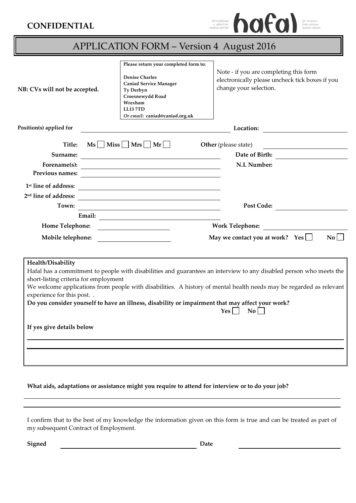## **CONFIDENTIAL**



| <b>APPLICATION FORM - Version 4 August 2016</b>                                                                     |                                                                                                                                                                                                  |                                                                                                                                                                                                                                                                       |
|---------------------------------------------------------------------------------------------------------------------|--------------------------------------------------------------------------------------------------------------------------------------------------------------------------------------------------|-----------------------------------------------------------------------------------------------------------------------------------------------------------------------------------------------------------------------------------------------------------------------|
| NB: CVs will not be accepted.                                                                                       | Please return your completed form to:<br><b>Denise Charles</b><br><b>Caniad Service Manager</b><br>Ty Derbyn<br>Croesnewydd Road<br>Wrexham<br><b>LL13 7TD</b><br>Or email: caniad@caniad.org.uk | Note - if you are completing this form<br>electronically please uncheck tick boxes if you<br>change your selection.                                                                                                                                                   |
| Position(s) applied for                                                                                             |                                                                                                                                                                                                  | Location:                                                                                                                                                                                                                                                             |
| Title:                                                                                                              | $\mathbf{M}\mathbf{s}$ $\Box$ Miss $\Box$ Mrs $\Box$ Mr                                                                                                                                          | Other (please state)                                                                                                                                                                                                                                                  |
| Surname:                                                                                                            | <u> 1980 - Andrea Station Barbara, amerikan personal (h. 1980).</u>                                                                                                                              | Date of Birth:                                                                                                                                                                                                                                                        |
|                                                                                                                     | Forename(s): $\qquad \qquad$                                                                                                                                                                     | N.I. Number:                                                                                                                                                                                                                                                          |
| Previous names:                                                                                                     | <u> 1989 - Jan Barbara Barat, martin da basar da basar da basar da basar da basar da basar da basar da basar da b</u>                                                                            |                                                                                                                                                                                                                                                                       |
| 1 <sup>st</sup> line of address:                                                                                    | <u> 1989 - Johann Stein, fransk politik (f. 1989)</u>                                                                                                                                            |                                                                                                                                                                                                                                                                       |
| 2 <sup>nd</sup> line of address:                                                                                    |                                                                                                                                                                                                  |                                                                                                                                                                                                                                                                       |
| Town:                                                                                                               | <u> 1980 - Johann Barn, mars ann an t-Amhain Aonaich an t-Aonaich an t-Aonaich ann an t-Aonaich ann an t-Aonaich</u>                                                                             | Post Code:                                                                                                                                                                                                                                                            |
| Home Telephone:                                                                                                     |                                                                                                                                                                                                  | <b>Work Telephone:</b>                                                                                                                                                                                                                                                |
| Mobile telephone:                                                                                                   |                                                                                                                                                                                                  | May we contact you at work? Yes $\Box$<br>$\mathbf{No}$                                                                                                                                                                                                               |
|                                                                                                                     |                                                                                                                                                                                                  |                                                                                                                                                                                                                                                                       |
| Health/Disability<br>short-listing criteria for employment<br>experience for this post<br>If yes give details below | Do you consider yourself to have an illness, disability or impairment that may affect your work?                                                                                                 | Hafal has a commitment to people with disabilities and guarantees an interview to any disabled person who meets the<br>We welcome applications from people with disabilities. A history of mental health needs may be regarded as relevant<br>$\overline{N_0}$<br>Yes |

**What aids, adaptations or assistance might you require to attend for interview or to do your job?** 

I confirm that to the best of my knowledge the information given on this form is true and can be treated as part of my subsequent Contract of Employment.

**Signed** Date **Date**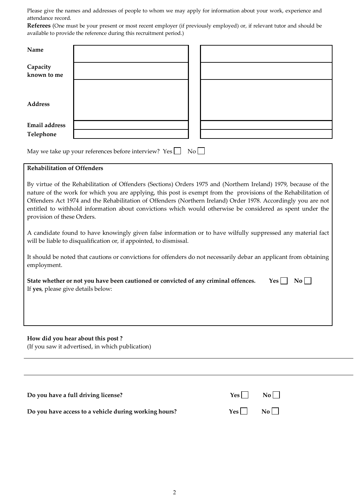Please give the names and addresses of people to whom we may apply for information about your work, experience and attendance record.

**Referees** (One must be your present or most recent employer (if previously employed) or, if relevant tutor and should be available to provide the reference during this recruitment period.)

| Name                                      |                                                                                                                                                                                                                                                                                                                                                                                                                                                                                                                                                                                                                                                                                                                                                                              |
|-------------------------------------------|------------------------------------------------------------------------------------------------------------------------------------------------------------------------------------------------------------------------------------------------------------------------------------------------------------------------------------------------------------------------------------------------------------------------------------------------------------------------------------------------------------------------------------------------------------------------------------------------------------------------------------------------------------------------------------------------------------------------------------------------------------------------------|
| Capacity<br>known to me                   |                                                                                                                                                                                                                                                                                                                                                                                                                                                                                                                                                                                                                                                                                                                                                                              |
| <b>Address</b>                            |                                                                                                                                                                                                                                                                                                                                                                                                                                                                                                                                                                                                                                                                                                                                                                              |
| <b>Email</b> address<br>Telephone         |                                                                                                                                                                                                                                                                                                                                                                                                                                                                                                                                                                                                                                                                                                                                                                              |
|                                           | No<br>May we take up your references before interview? Yes                                                                                                                                                                                                                                                                                                                                                                                                                                                                                                                                                                                                                                                                                                                   |
| <b>Rehabilitation of Offenders</b>        |                                                                                                                                                                                                                                                                                                                                                                                                                                                                                                                                                                                                                                                                                                                                                                              |
| provision of these Orders.<br>employment. | By virtue of the Rehabilitation of Offenders (Sections) Orders 1975 and (Northern Ireland) 1979, because of the<br>nature of the work for which you are applying, this post is exempt from the provisions of the Rehabilitation of<br>Offenders Act 1974 and the Rehabilitation of Offenders (Northern Ireland) Order 1978. Accordingly you are not<br>entitled to withhold information about convictions which would otherwise be considered as spent under the<br>A candidate found to have knowingly given false information or to have wilfully suppressed any material fact<br>will be liable to disqualification or, if appointed, to dismissal.<br>It should be noted that cautions or convictions for offenders do not necessarily debar an applicant from obtaining |
| If yes, please give details below:        | $\mathbf{N}$ o<br>State whether or not you have been cautioned or convicted of any criminal offences.<br>Yes                                                                                                                                                                                                                                                                                                                                                                                                                                                                                                                                                                                                                                                                 |
|                                           |                                                                                                                                                                                                                                                                                                                                                                                                                                                                                                                                                                                                                                                                                                                                                                              |
|                                           | How did you hear about this post?<br>(If you saw it advertised, in which publication)                                                                                                                                                                                                                                                                                                                                                                                                                                                                                                                                                                                                                                                                                        |
|                                           |                                                                                                                                                                                                                                                                                                                                                                                                                                                                                                                                                                                                                                                                                                                                                                              |
|                                           | Do you have a full driving license?<br>Yes<br>$\overline{N_0}$                                                                                                                                                                                                                                                                                                                                                                                                                                                                                                                                                                                                                                                                                                               |

Do you have access to a vehicle during working hours? Yes No

l,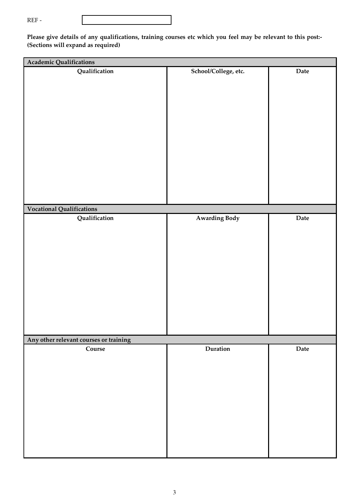|--|--|

Please give details of any qualifications, training courses etc which you feel may be relevant to this post:-**(Sections will expand as required)** 

| Academic Qualifications                |                      |      |  |  |
|----------------------------------------|----------------------|------|--|--|
| Qualification                          | School/College, etc. | Date |  |  |
|                                        |                      |      |  |  |
|                                        |                      |      |  |  |
| Vocational Qualifications              |                      |      |  |  |
| Qualification                          | <b>Awarding Body</b> | Date |  |  |
| Any other relevant courses or training |                      |      |  |  |
| Course                                 | Duration             | Date |  |  |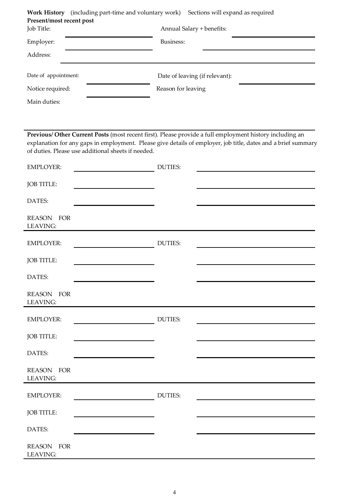| (including part-time and voluntary work) Sections will expand as required<br>Work History<br>Present/most recent post |                                |  |  |  |  |
|-----------------------------------------------------------------------------------------------------------------------|--------------------------------|--|--|--|--|
| Job Title:                                                                                                            | Annual Salary + benefits:      |  |  |  |  |
| Employer:                                                                                                             | Business:                      |  |  |  |  |
| Address:                                                                                                              |                                |  |  |  |  |
| Date of appointment:                                                                                                  | Date of leaving (if relevant): |  |  |  |  |
| Notice required:                                                                                                      | Reason for leaving             |  |  |  |  |

Main duties:

**Previous/ Other Current Posts** (most recent first). Please provide a full employment history including an explanation for any gaps in employment. Please give details of employer, job title, dates and a brief summary of duties. Please use additional sheets if needed.

| <b>EMPLOYER:</b>       | <b>DUTIES:</b> |  |
|------------------------|----------------|--|
| JOB TITLE:             |                |  |
| DATES:                 |                |  |
| REASON FOR<br>LEAVING: |                |  |
| <b>EMPLOYER:</b>       | <b>DUTIES:</b> |  |
| JOB TITLE:             |                |  |
| DATES:                 |                |  |
| REASON FOR<br>LEAVING: |                |  |
| <b>EMPLOYER:</b>       | <b>DUTIES:</b> |  |
| JOB TITLE:             |                |  |
| DATES:                 |                |  |
| REASON FOR<br>LEAVING: |                |  |
| <b>EMPLOYER:</b>       | <b>DUTIES:</b> |  |
| JOB TITLE:             |                |  |
| DATES:                 |                |  |
| REASON FOR<br>LEAVING: |                |  |